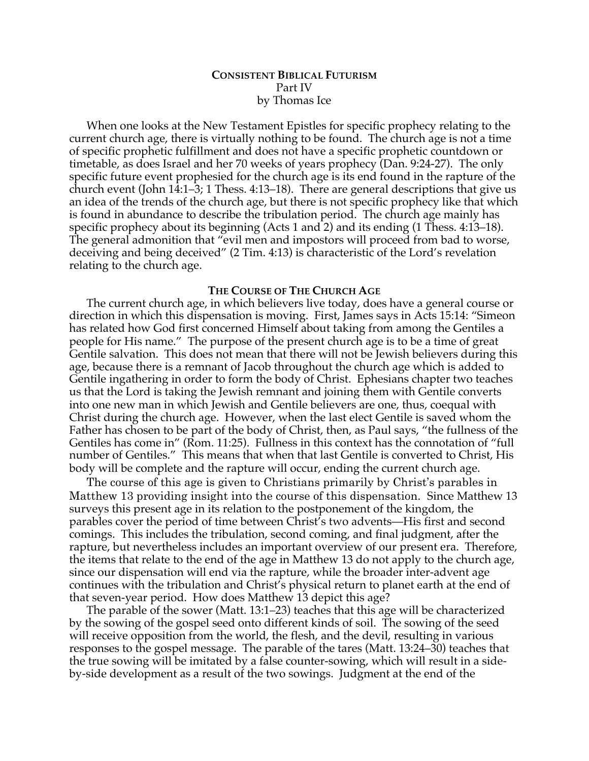# **CONSISTENT BIBLICAL FUTURISM** Part IV by Thomas Ice

When one looks at the New Testament Epistles for specific prophecy relating to the current church age, there is virtually nothing to be found. The church age is not a time of specific prophetic fulfillment and does not have a specific prophetic countdown or timetable, as does Israel and her 70 weeks of years prophecy (Dan. 9:24-27). The only specific future event prophesied for the church age is its end found in the rapture of the church event (John 14:1–3; 1 Thess. 4:13–18). There are general descriptions that give us an idea of the trends of the church age, but there is not specific prophecy like that which is found in abundance to describe the tribulation period. The church age mainly has specific prophecy about its beginning (Acts 1 and 2) and its ending (1 Thess. 4:13–18). The general admonition that "evil men and impostors will proceed from bad to worse, deceiving and being deceived" (2 Tim. 4:13) is characteristic of the Lord's revelation relating to the church age.

### **THE COURSE OF THE CHURCH AGE**

The current church age, in which believers live today, does have a general course or direction in which this dispensation is moving. First, James says in Acts 15:14: "Simeon has related how God first concerned Himself about taking from among the Gentiles a people for His name." The purpose of the present church age is to be a time of great Gentile salvation. This does not mean that there will not be Jewish believers during this age, because there is a remnant of Jacob throughout the church age which is added to Gentile ingathering in order to form the body of Christ. Ephesians chapter two teaches us that the Lord is taking the Jewish remnant and joining them with Gentile converts into one new man in which Jewish and Gentile believers are one, thus, coequal with Christ during the church age. However, when the last elect Gentile is saved whom the Father has chosen to be part of the body of Christ, then, as Paul says, "the fullness of the Gentiles has come in" (Rom. 11:25). Fullness in this context has the connotation of "full number of Gentiles." This means that when that last Gentile is converted to Christ, His body will be complete and the rapture will occur, ending the current church age.

The course of this age is given to Christians primarily by Christ's parables in Matthew 13 providing insight into the course of this dispensation. Since Matthew 13 surveys this present age in its relation to the postponement of the kingdom, the parables cover the period of time between Christ's two advents—His first and second comings. This includes the tribulation, second coming, and final judgment, after the rapture, but nevertheless includes an important overview of our present era. Therefore, the items that relate to the end of the age in Matthew 13 do not apply to the church age, since our dispensation will end via the rapture, while the broader inter-advent age continues with the tribulation and Christ's physical return to planet earth at the end of that seven-year period. How does Matthew 13 depict this age?

The parable of the sower (Matt. 13:1–23) teaches that this age will be characterized by the sowing of the gospel seed onto different kinds of soil. The sowing of the seed will receive opposition from the world, the flesh, and the devil, resulting in various responses to the gospel message. The parable of the tares (Matt. 13:24–30) teaches that the true sowing will be imitated by a false counter-sowing, which will result in a sideby-side development as a result of the two sowings. Judgment at the end of the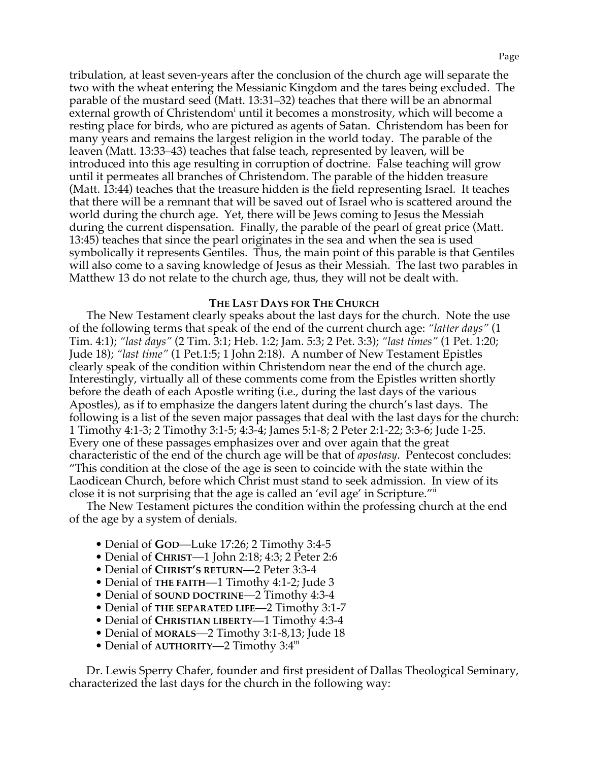tribulation, at least seven-years after the conclusion of the church age will separate the two with the wheat entering the Messianic Kingdom and the tares being excluded. The parable of the mustard seed (Matt. 13:31–32) teaches that there will be an abnormal external growth of Christendom<sup>i</sup> until it becomes a monstrosity, which will become a resting place for birds, who are pictured as agents of Satan. Christendom has been for many years and remains the largest religion in the world today. The parable of the leaven (Matt. 13:33–43) teaches that false teach, represented by leaven, will be introduced into this age resulting in corruption of doctrine. False teaching will grow until it permeates all branches of Christendom. The parable of the hidden treasure (Matt. 13:44) teaches that the treasure hidden is the field representing Israel. It teaches that there will be a remnant that will be saved out of Israel who is scattered around the world during the church age. Yet, there will be Jews coming to Jesus the Messiah during the current dispensation. Finally, the parable of the pearl of great price (Matt. 13:45) teaches that since the pearl originates in the sea and when the sea is used symbolically it represents Gentiles. Thus, the main point of this parable is that Gentiles will also come to a saving knowledge of Jesus as their Messiah. The last two parables in Matthew 13 do not relate to the church age, thus, they will not be dealt with.

## **THE LAST DAYS FOR THE CHURCH**

The New Testament clearly speaks about the last days for the church. Note the use of the following terms that speak of the end of the current church age: *"latter days"* (1 Tim. 4:1); *"last days"* (2 Tim. 3:1; Heb. 1:2; Jam. 5:3; 2 Pet. 3:3); *"last times"* (1 Pet. 1:20; Jude 18); *"last time"* (1 Pet.1:5; 1 John 2:18). A number of New Testament Epistles clearly speak of the condition within Christendom near the end of the church age. Interestingly, virtually all of these comments come from the Epistles written shortly before the death of each Apostle writing (i.e., during the last days of the various Apostles), as if to emphasize the dangers latent during the church's last days. The following is a list of the seven major passages that deal with the last days for the church: 1 Timothy 4:1-3; 2 Timothy 3:1-5; 4:3-4; James 5:1-8; 2 Peter 2:1-22; 3:3-6; Jude 1-25. Every one of these passages emphasizes over and over again that the great characteristic of the end of the church age will be that of *apostasy*. Pentecost concludes: "This condition at the close of the age is seen to coincide with the state within the Laodicean Church, before which Christ must stand to seek admission. In view of its close it is not surprising that the age is called an 'evil age' in Scripture.<sup>""</sup>

The New Testament pictures the condition within the professing church at the end of the age by a system of denials.

- Denial of **GOD**—Luke 17:26; 2 Timothy 3:4-5
- Denial of **CHRIST**—1 John 2:18; 4:3; 2 Peter 2:6
- Denial of **CHRIST'S RETURN**—2 Peter 3:3-4
- Denial of **THE FAITH**—1 Timothy 4:1-2; Jude 3
- Denial of **SOUND DOCTRINE**—2 Timothy 4:3-4
- Denial of **THE SEPARATED LIFE**—2 Timothy 3:1-7
- Denial of **CHRISTIAN LIBERTY**—1 Timothy 4:3-4
- Denial of **MORALS**—2 Timothy 3:1-8,13; Jude 18
- Denial of **AUTHORITY—2** Timothy 3:4<sup>iii</sup>

Dr. Lewis Sperry Chafer, founder and first president of Dallas Theological Seminary, characterized the last days for the church in the following way: